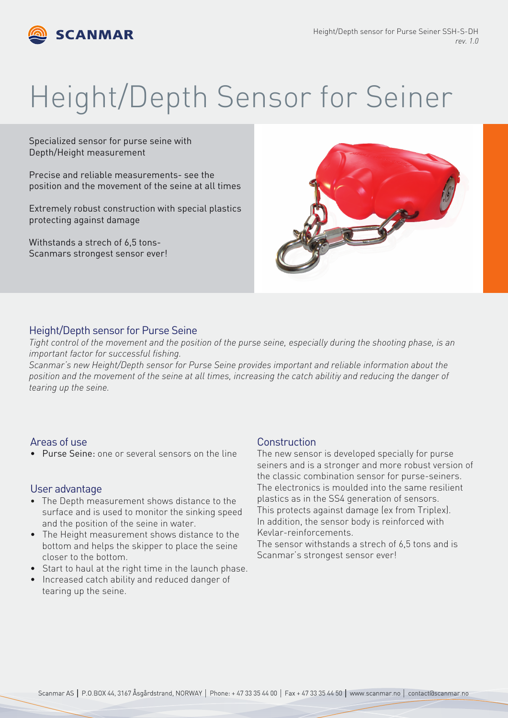

# Height/Depth Sensor for Seiner

Specialized sensor for purse seine with Depth/Height measurement

Precise and reliable measurements- see the position and the movement of the seine at all times

Extremely robust construction with special plastics protecting against damage

Withstands a strech of 6,5 tons-Scanmars strongest sensor ever!



#### Height/Depth sensor for Purse Seine

*Tight control of the movement and the position of the purse seine, especially during the shooting phase, is an important factor for successful fishing.*

*Scanmar's new Height/Depth sensor for Purse Seine provides important and reliable information about the position and the movement of the seine at all times, increasing the catch abilitiy and reducing the danger of tearing up the seine.*

#### Areas of use

• Purse Seine: one or several sensors on the line

#### User advantage

- The Depth measurement shows distance to the surface and is used to monitor the sinking speed and the position of the seine in water.
- The Height measurement shows distance to the bottom and helps the skipper to place the seine closer to the bottom.
- Start to haul at the right time in the launch phase.
- Increased catch ability and reduced danger of tearing up the seine.

#### **Construction**

The new sensor is developed specially for purse seiners and is a stronger and more robust version of the classic combination sensor for purse-seiners. The electronics is moulded into the same resilient plastics as in the SS4 generation of sensors. This protects against damage (ex from Triplex). In addition, the sensor body is reinforced with Kevlar-reinforcements.

The sensor withstands a strech of 6,5 tons and is Scanmar's strongest sensor ever!